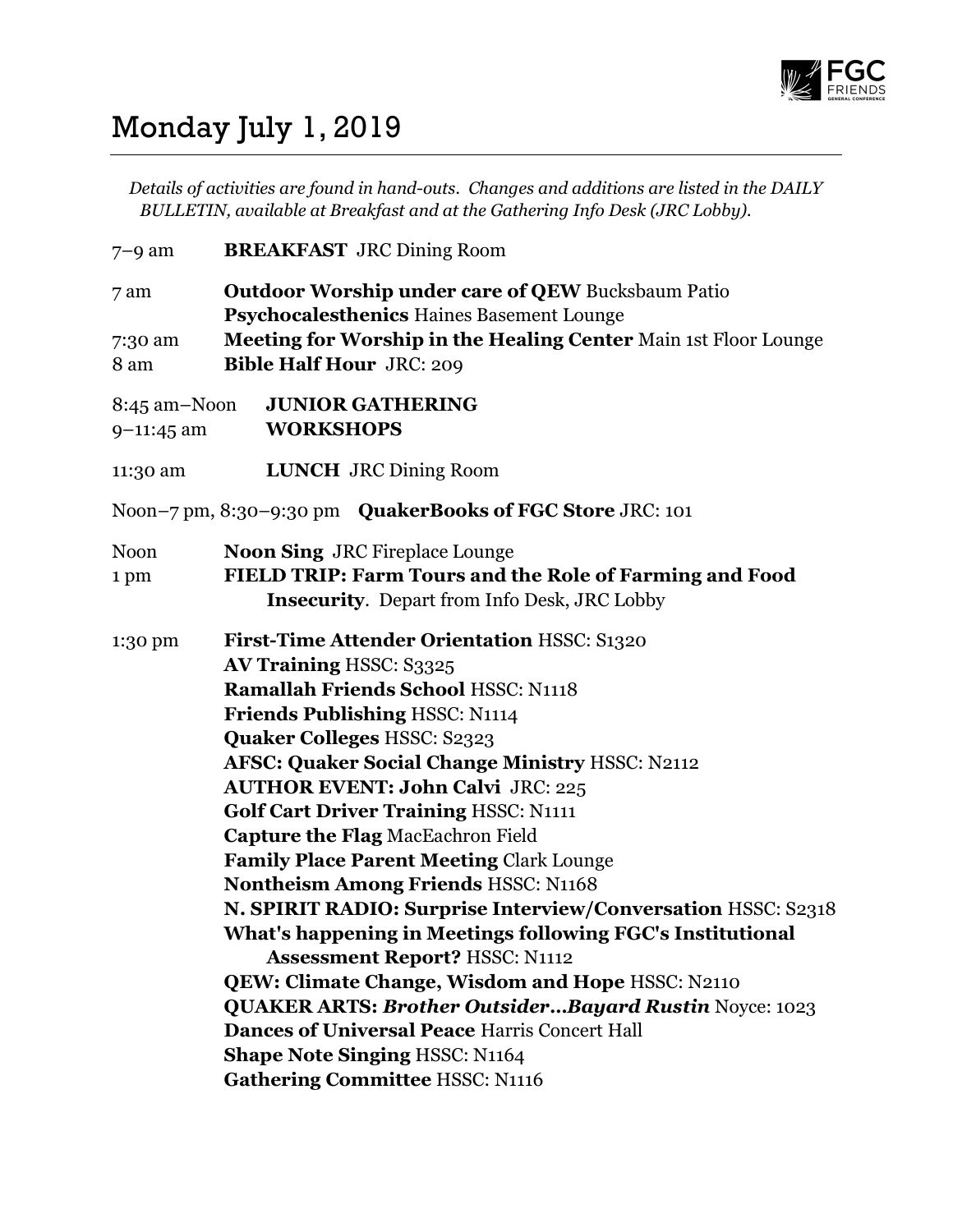

## Monday July 1, 2019

Details of activities are found in hand-outs. Changes and additions are listed in the DAILY BULLETIN, available at Breakfast and at the Gathering Info Desk (JRC Lobby).

7–9 am BREAKFAST JRC Dining Room 7 am Outdoor Worship under care of QEW Bucksbaum Patio Psychocalesthenics Haines Basement Lounge 7:30 am Meeting for Worship in the Healing Center Main 1st Floor Lounge 8 am Bible Half Hour JRC: 209 8:45 am–Noon JUNIOR GATHERING 9–11:45 am WORKSHOPS 11:30 am LUNCH JRC Dining Room Noon–7 pm, 8:30–9:30 pm QuakerBooks of FGC Store JRC: 101 Noon **Noon Sing JRC** Fireplace Lounge 1 pm FIELD TRIP: Farm Tours and the Role of Farming and Food Insecurity. Depart from Info Desk, JRC Lobby 1:30 pm First-Time Attender Orientation HSSC: S1320 AV Training HSSC: S3325 Ramallah Friends School HSSC: N1118 Friends Publishing HSSC: N1114 Quaker Colleges HSSC: S2323 AFSC: Quaker Social Change Ministry HSSC: N2112 AUTHOR EVENT: John Calvi JRC: 225 Golf Cart Driver Training HSSC: N1111 Capture the Flag MacEachron Field Family Place Parent Meeting Clark Lounge Nontheism Among Friends HSSC: N1168 N. SPIRIT RADIO: Surprise Interview/Conversation HSSC: S2318 What's happening in Meetings following FGC's Institutional Assessment Report? HSSC: N1112 QEW: Climate Change, Wisdom and Hope HSSC: N2110 QUAKER ARTS: Brother Outsider…Bayard Rustin Noyce: 1023 Dances of Universal Peace Harris Concert Hall Shape Note Singing HSSC: N1164 Gathering Committee HSSC: N1116